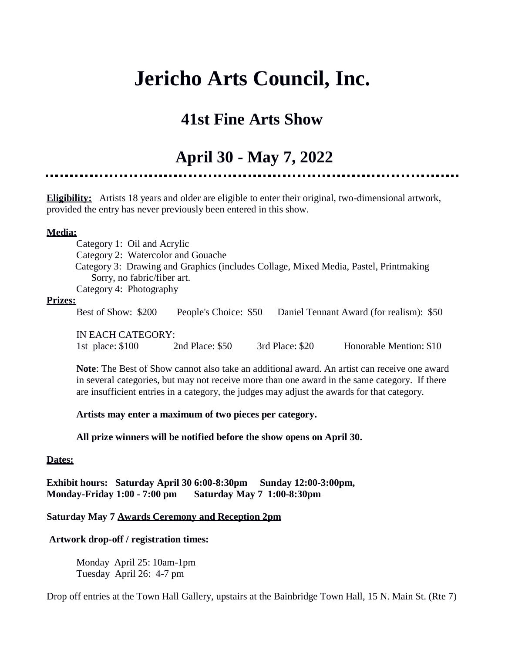# **Jericho Arts Council, Inc.**

# **41st Fine Arts Show**

# **April 30 - May 7, 2022**

**Eligibility:** Artists 18 years and older are eligible to enter their original, two-dimensional artwork,

provided the entry has never previously been entered in this show.

## **Media:**

 Category 1: Oil and Acrylic Category 2: Watercolor and Gouache Category 3: Drawing and Graphics (includes Collage, Mixed Media, Pastel, Printmaking Sorry, no fabric/fiber art. Category 4: Photography

#### **Prizes:**

Best of Show: \$200 People's Choice: \$50 Daniel Tennant Award (for realism): \$50

IN EACH CATEGORY: 1st place: \$100 2nd Place: \$50 3rd Place: \$20 Honorable Mention: \$10

**Note**: The Best of Show cannot also take an additional award. An artist can receive one award in several categories, but may not receive more than one award in the same category. If there are insufficient entries in a category, the judges may adjust the awards for that category.

# **Artists may enter a maximum of two pieces per category.**

#### **All prize winners will be notified before the show opens on April 30.**

#### **Dates:**

**Exhibit hours: Saturday April 30 6:00-8:30pm Sunday 12:00-3:00pm, Monday-Friday 1:00 - 7:00 pm Saturday May 7 1:00-8:30pm** 

## **Saturday May 7 Awards Ceremony and Reception 2pm**

# **Artwork drop-off / registration times:**

Monday April 25: 10am-1pm Tuesday April 26: 4-7 pm

Drop off entries at the Town Hall Gallery, upstairs at the Bainbridge Town Hall, 15 N. Main St. (Rte 7)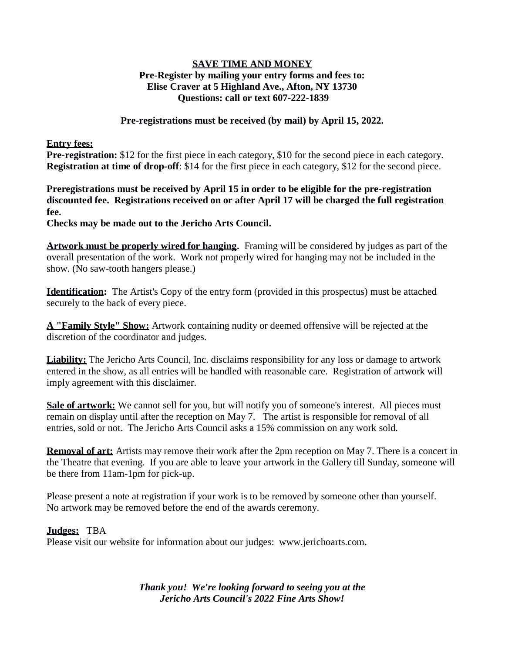## **SAVE TIME AND MONEY Pre-Register by mailing your entry forms and fees to: Elise Craver at 5 Highland Ave., Afton, NY 13730 Questions: call or text 607-222-1839**

#### **Pre-registrations must be received (by mail) by April 15, 2022.**

#### **Entry fees:**

**Pre-registration:** \$12 for the first piece in each category, \$10 for the second piece in each category. **Registration at time of drop-off**: \$14 for the first piece in each category, \$12 for the second piece.

**Preregistrations must be received by April 15 in order to be eligible for the pre-registration discounted fee. Registrations received on or after April 17 will be charged the full registration fee.**

**Checks may be made out to the Jericho Arts Council.**

**Artwork must be properly wired for hanging.** Framing will be considered by judges as part of the overall presentation of the work. Work not properly wired for hanging may not be included in the show. (No saw-tooth hangers please.)

**Identification:** The Artist's Copy of the entry form (provided in this prospectus) must be attached securely to the back of every piece.

**A "Family Style" Show:** Artwork containing nudity or deemed offensive will be rejected at the discretion of the coordinator and judges.

**Liability:** The Jericho Arts Council, Inc. disclaims responsibility for any loss or damage to artwork entered in the show, as all entries will be handled with reasonable care. Registration of artwork will imply agreement with this disclaimer.

**Sale of artwork:** We cannot sell for you, but will notify you of someone's interest. All pieces must remain on display until after the reception on May 7. The artist is responsible for removal of all entries, sold or not. The Jericho Arts Council asks a 15% commission on any work sold.

**Removal of art:** Artists may remove their work after the 2pm reception on May 7. There is a concert in the Theatre that evening. If you are able to leave your artwork in the Gallery till Sunday, someone will be there from 11am-1pm for pick-up.

Please present a note at registration if your work is to be removed by someone other than yourself. No artwork may be removed before the end of the awards ceremony.

#### **Judges:** TBA

Please visit our website for information about our judges: [www.jerichoarts.com.](http://www.jerichoarts.com/)

*Thank you! We're looking forward to seeing you at the Jericho Arts Council's 2022 Fine Arts Show!*